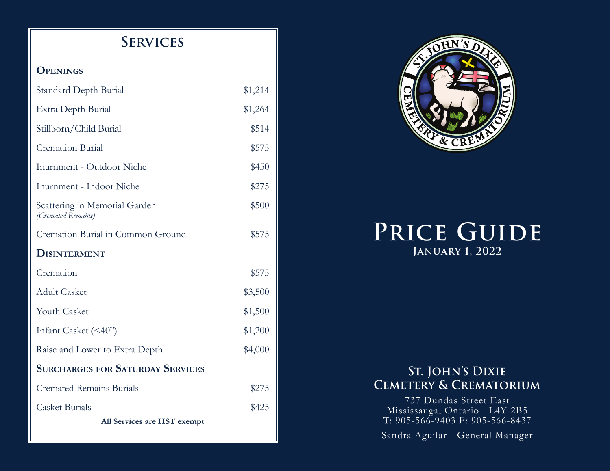## **Services**

#### **Openings**

| Standard Depth Burial                               | \$1,214 |  |  |
|-----------------------------------------------------|---------|--|--|
| Extra Depth Burial                                  | \$1,264 |  |  |
| Stillborn/Child Burial                              | \$514   |  |  |
| <b>Cremation Burial</b>                             | \$575   |  |  |
| Inurnment - Outdoor Niche                           | \$450   |  |  |
| Inurnment - Indoor Niche                            | \$275   |  |  |
| Scattering in Memorial Garden<br>(Cremated Remains) | \$500   |  |  |
| Cremation Burial in Common Ground                   | \$575   |  |  |
| DISINTERMENT                                        |         |  |  |
| Cremation                                           | \$575   |  |  |
| <b>Adult Casket</b>                                 | \$3,500 |  |  |
| <b>Youth Casket</b>                                 | \$1,500 |  |  |
| Infant Casket (<40")                                | \$1,200 |  |  |
| Raise and Lower to Extra Depth                      | \$4,000 |  |  |
| <b>SURCHARGES FOR SATURDAY SERVICES</b>             |         |  |  |
| <b>Cremated Remains Burials</b>                     | \$275   |  |  |
| <b>Casket Burials</b>                               | \$425   |  |  |
| All Services are HST exempt                         |         |  |  |



# **Price Guide January 1, 2022**

#### **St. John's Dixie Cemetery & Crematorium**

737 Dundas Street East Mississauga, Ontario L4Y 2B5 T: 905-566-9403 F: 905-566-8437

Sandra Aguilar - General Manager